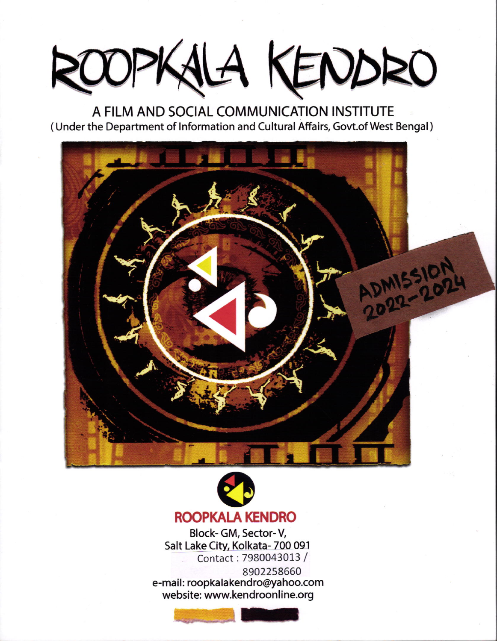## OOPKALA KENDRO

A FILM AND SOCIAL COMMUNICATION INSTITUTE (Under the Department of Information and Cultural Affairs, Govt.of West Bengal)





Block-GM, Sector-V, Salt Lake City, Kolkata- 700 091 Contact: 7980043013 / 8902258660

e-mail: roopkalakendro@yahoo.com website: www.kendroonline.org

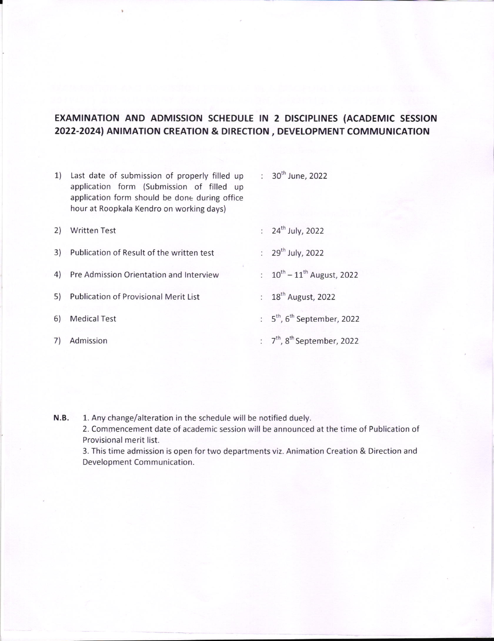## EXAMINATION AND ADMISSION SCHEDULE IN 2 DISCIPLINES (ACADEMIC SESSION 2022-2024) ANIMATION CREATION & DIRECTION, DEVELOPMENT COMMUNICATION

| 1) | Last date of submission of properly filled up<br>application form (Submission of filled up<br>application form should be done during office<br>hour at Roopkala Kendro on working days) | : $30^{th}$ June, 2022                       |
|----|-----------------------------------------------------------------------------------------------------------------------------------------------------------------------------------------|----------------------------------------------|
| 2) | <b>Written Test</b>                                                                                                                                                                     | : $24^{th}$ July, 2022                       |
| 3) | Publication of Result of the written test                                                                                                                                               | : $29^{th}$ July, 2022                       |
|    | 4) Pre Admission Orientation and Interview                                                                                                                                              | : $10^{th} - 11^{th}$ August, 2022           |
| 5) | <b>Publication of Provisional Merit List</b>                                                                                                                                            | : $18^{th}$ August, 2022                     |
| 6) | <b>Medical Test</b>                                                                                                                                                                     | : $5^{th}$ , 6 <sup>th</sup> September, 2022 |
| 7) | Admission                                                                                                                                                                               | : $7th$ , 8 <sup>th</sup> September, 2022    |
|    |                                                                                                                                                                                         |                                              |

I

N.B, 1. Any change/alteration in the schedule will be notified duely.

> 2. Commencement date of academic session will be announced at the time of Publication of Provisional merit list.

> 3. This time admission is open for two departments viz. Animation Creation & Direction and Development Communication.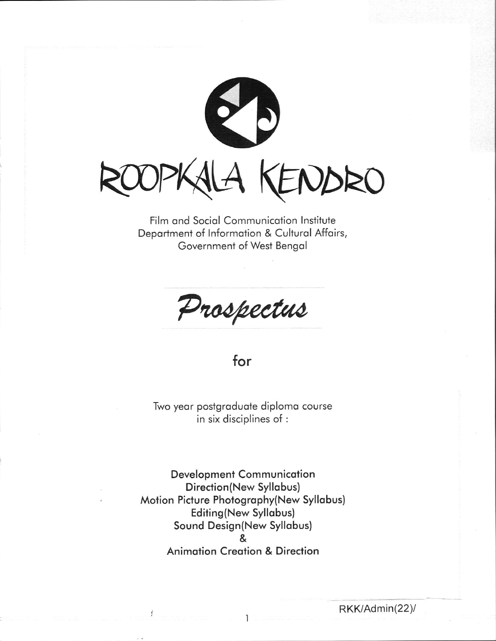

Film and Social Communication Institute Department of Information & Cultural Affairs, Government of West Bengal

Prospectus

## for

Two year postgraduate diploma course in six disciplines of :

Development Communication Direction(New Syllabus) Motion Picture Photography(New Syllabus) **Editing(New Syllabus)** Sound Design(New Syllabus)  $\mathbf{g}$ **Animation Creation & Direction**